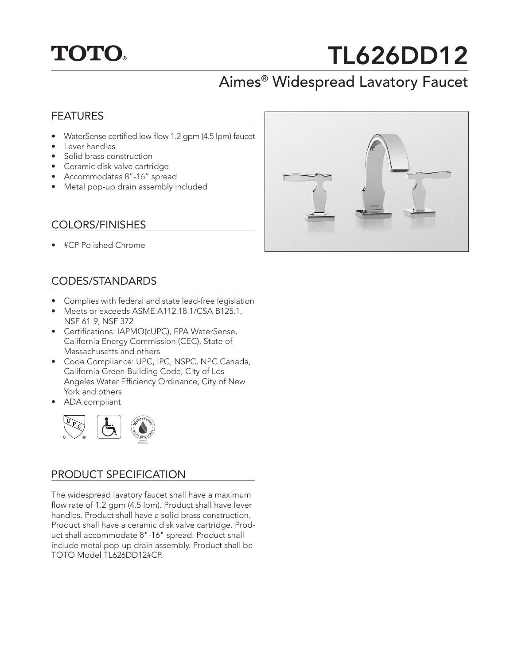## **TOTO.**

# TL626DD12

## Aimes® Widespread Lavatory Faucet

#### FEATURES

- WaterSense certified low-flow 1.2 gpm (4.5 lpm) faucet
- Lever handles
- Solid brass construction
- Ceramic disk valve cartridge
- Accommodates 8"-16" spread
- Metal pop-up drain assembly included

#### COLORS/FINISHES

• #CP Polished Chrome

#### CODES/STANDARDS

- Complies with federal and state lead-free legislation
- Meets or exceeds ASME A112.18.1/CSA B125.1, NSF 61-9, NSF 372
- Certifications: IAPMO(cUPC), EPA WaterSense, California Energy Commission (CEC), State of Massachusetts and others
- Code Compliance: UPC, IPC, NSPC, NPC Canada, California Green Building Code, City of Los Angeles Water Efficiency Ordinance, City of New York and others
- ADA compliant



#### PRODUCT SPECIFICATION

The widespread lavatory faucet shall have a maximum flow rate of 1.2 gpm (4.5 lpm). Product shall have lever handles. Product shall have a solid brass construction. Product shall have a ceramic disk valve cartridge. Product shall accommodate 8"-16" spread. Product shall include metal pop-up drain assembly. Product shall be TOTO Model TL626DD12#CP.